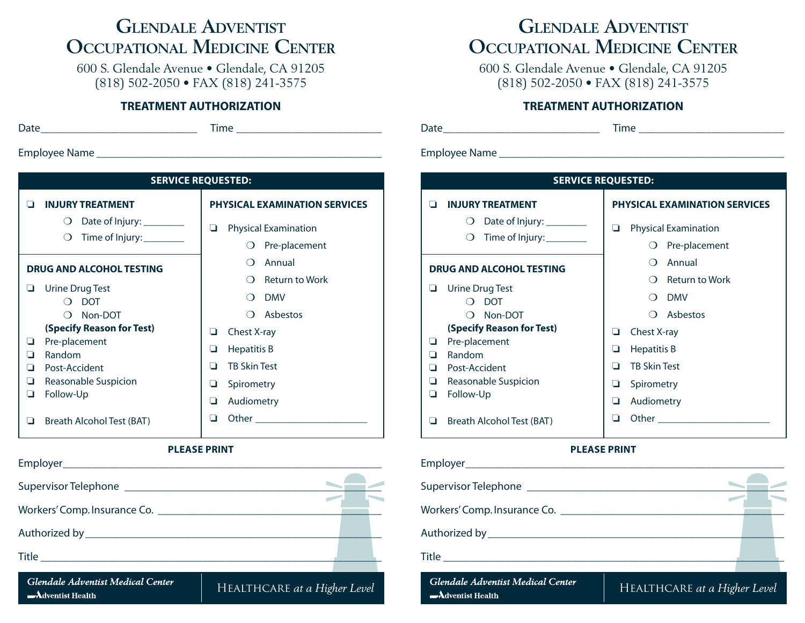# **Glendale Adventist Occupational Medicine Center**

600 S. Glendale Avenue • Glendale, CA 91205 (818) 502-2050 • FAX (818) 241-3575

#### **TREATMENT AUTHORIZATION**

| ×<br> | a sa<br>× | ×<br>٧ |
|-------|-----------|--------|
|-------|-----------|--------|

Date\_\_\_\_\_\_\_\_\_\_\_\_\_\_\_\_\_\_\_\_\_\_\_\_\_\_\_\_\_ Time\_\_\_\_\_\_\_\_\_\_\_\_\_\_\_\_\_\_\_\_\_\_\_\_\_\_\_

Employee Name\_\_\_\_\_\_\_\_\_\_\_\_\_\_\_\_\_\_\_\_\_\_\_\_\_\_\_\_\_\_\_\_\_\_\_\_\_\_\_\_\_\_\_\_\_\_\_\_\_\_\_\_

| <b>SERVICE REQUESTED:</b>                     |                                           |  |  |  |  |
|-----------------------------------------------|-------------------------------------------|--|--|--|--|
| <b>INJURY TREATMENT</b>                       | <b>PHYSICAL EXAMINATION SERVICES</b>      |  |  |  |  |
| Date of Injury: _________<br>$\left( \right)$ | <b>Physical Examination</b><br>⊔          |  |  |  |  |
| Time of Injury:_________<br>$\left( \right)$  | Pre-placement<br>∩                        |  |  |  |  |
| <b>DRUG AND ALCOHOL TESTING</b>               | Annual<br>()                              |  |  |  |  |
|                                               | <b>Return to Work</b><br>$\left( \right)$ |  |  |  |  |
| Urine Drug Test<br><b>DOT</b>                 | <b>DMV</b>                                |  |  |  |  |
| Non-DOT                                       | Asbestos                                  |  |  |  |  |
| (Specify Reason for Test)                     | Chest X-ray<br>❏                          |  |  |  |  |
| Pre-placement<br>H<br>Random                  | o<br>Hepatitis B                          |  |  |  |  |
| Post-Accident                                 | <b>TB Skin Test</b><br>◻                  |  |  |  |  |
| Reasonable Suspicion                          | Spirometry<br>ப                           |  |  |  |  |
| Follow-Up<br>ப                                | Audiometry<br>⊔                           |  |  |  |  |
| Breath Alcohol Test (BAT)                     | Other<br>П                                |  |  |  |  |

#### **PLEASE PRINT**



# **Glendale Adventist Occupational Medicine Center**

600 S. Glendale Avenue • Glendale, CA 91205 (818) 502-2050 • FAX (818) 241-3575

### **TREATMENT AUTHORIZATION**

Date\_\_\_\_\_\_\_\_\_\_\_\_\_\_\_\_\_\_\_\_\_\_\_\_\_\_\_\_\_ Time\_\_\_\_\_\_\_\_\_\_\_\_\_\_\_\_\_\_\_\_\_\_\_\_\_\_\_

Employee Name

| <b>SERVICE REQUESTED:</b> |                                                                                 |                                      |                                              |  |  |  |
|---------------------------|---------------------------------------------------------------------------------|--------------------------------------|----------------------------------------------|--|--|--|
|                           | <b>INJURY TREATMENT</b>                                                         | <b>PHYSICAL EXAMINATION SERVICES</b> |                                              |  |  |  |
|                           | Date of Injury: _________<br>$\left( \quad \right)$<br>Time of Injury:_________ | u                                    | <b>Physical Examination</b><br>Pre-placement |  |  |  |
|                           | <b>DRUG AND ALCOHOL TESTING</b>                                                 | Annual                               |                                              |  |  |  |
|                           |                                                                                 |                                      | <b>Return to Work</b>                        |  |  |  |
|                           | Urine Drug Test<br><b>DOT</b>                                                   |                                      | <b>DMV</b>                                   |  |  |  |
|                           | Non-DOT                                                                         |                                      | Asbestos                                     |  |  |  |
|                           | (Specify Reason for Test)                                                       | Chest X-ray<br>u                     |                                              |  |  |  |
| u                         | Pre-placement<br>Random                                                         | Hepatitis B<br>u                     |                                              |  |  |  |
| l 1                       | Post-Accident                                                                   | <b>TB Skin Test</b><br>◻             |                                              |  |  |  |
| ப                         | Reasonable Suspicion                                                            | Spirometry<br>u                      |                                              |  |  |  |
| ப                         | Follow-Up                                                                       | Audiometry<br>⊔                      |                                              |  |  |  |
|                           | Breath Alcohol Test (BAT)                                                       | - I                                  | Other                                        |  |  |  |

#### **PLEASE PRINT**

| Employer__________________________                 |                          |  |
|----------------------------------------------------|--------------------------|--|
|                                                    |                          |  |
| Workers' Comp. Insurance Co. [1986] Morkers' Comp. |                          |  |
|                                                    |                          |  |
|                                                    |                          |  |
| Glendale Adventist Medical Center                  | $11 - 11$<br>$T T$ . $T$ |  |